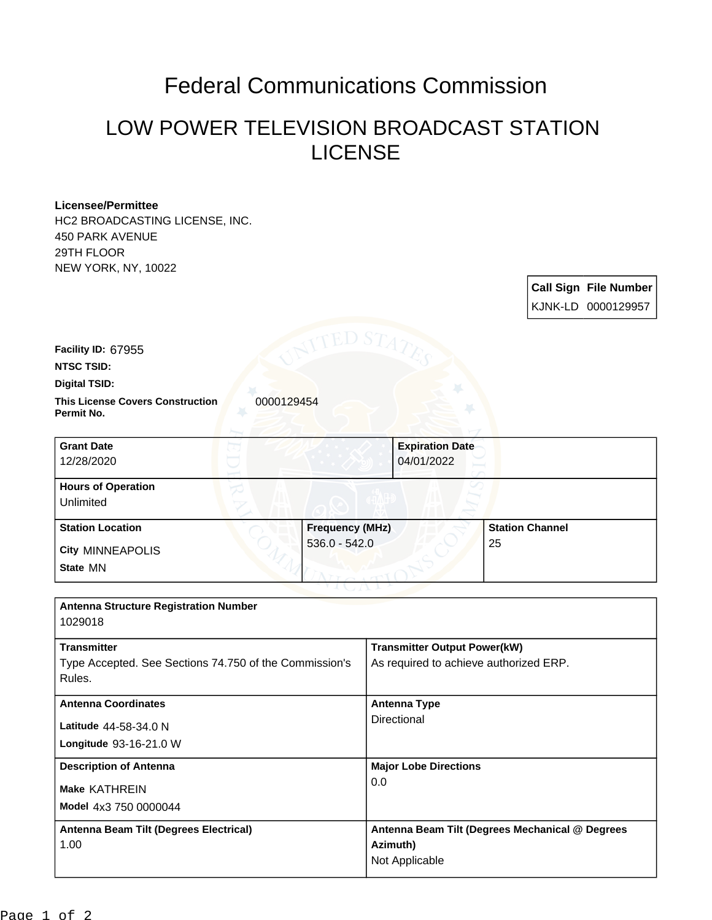## Federal Communications Commission

## LOW POWER TELEVISION BROADCAST STATION LICENSE

**Call Sign File Number**

## **Licensee/Permittee**

HC2 BROADCASTING LICENSE, INC. 450 PARK AVENUE 29TH FLOOR NEW YORK, NY, 10022

|                                                                  |                                           |                                        | KJNK-LD 0000129957           |  |
|------------------------------------------------------------------|-------------------------------------------|----------------------------------------|------------------------------|--|
| Facility ID: 67955<br><b>NTSC TSID:</b>                          |                                           |                                        |                              |  |
| <b>Digital TSID:</b>                                             |                                           |                                        |                              |  |
| <b>This License Covers Construction</b><br>Permit No.            | 0000129454                                |                                        |                              |  |
| <b>Grant Date</b><br>12/28/2020                                  |                                           | <b>Expiration Date</b><br>04/01/2022   |                              |  |
| <b>Hours of Operation</b><br>Unlimited                           |                                           |                                        |                              |  |
| <b>Station Location</b><br><b>City MINNEAPOLIS</b>               | <b>Frequency (MHz)</b><br>$536.0 - 542.0$ |                                        | <b>Station Channel</b><br>25 |  |
| State MN                                                         |                                           |                                        |                              |  |
| <b>Antenna Structure Registration Number</b><br>1029018          |                                           |                                        |                              |  |
| <b>Transmitter</b>                                               |                                           | <b>Transmitter Output Power(kW)</b>    |                              |  |
| Type Accepted. See Sections 74.750 of the Commission's<br>Rules. |                                           | As required to achieve authorized ERP. |                              |  |
| <b>Antenna Coordinates</b>                                       |                                           | <b>Antenna Type</b>                    |                              |  |

**Model** 4x3 750 0000044 **Make** KATHREIN **Longitude** 93-16-21.0 W **Latitude** 44-58-34.0 N Directional **Description of Antenna Major Lobe Directions** 0.0 **Antenna Beam Tilt (Degrees Electrical)** 1.00 **Antenna Beam Tilt (Degrees Mechanical @ Degrees Azimuth)** Not Applicable